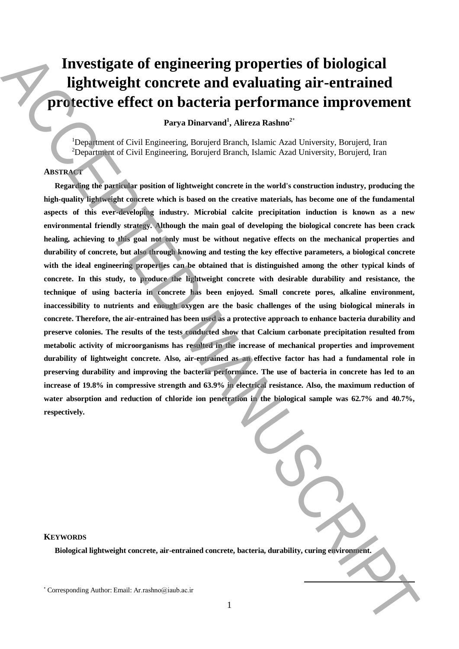# **Investigate of engineering properties of biological lightweight concrete and evaluating air-entrained protective effect on bacteria performance improvement**

**Parya Dinarvand<sup>1</sup> , Alireza Rashno<sup>2</sup>**\*

<sup>1</sup>Department of Civil Engineering, Borujerd Branch, Islamic Azad University, Borujerd, Iran <sup>2</sup>Department of Civil Engineering, Borujerd Branch, Islamic Azad University, Borujerd, Iran

#### **ABSTRACT**

**Regarding the particular position of lightweight concrete in the world's construction industry, producing the high-quality lightweight concrete which is based on the creative materials, has become one of the fundamental aspects of this ever-developing industry. Microbial calcite precipitation induction is known as a new environmental friendly strategy. Although the main goal of developing the biological concrete has been crack healing, achieving to this goal not only must be without negative effects on the mechanical properties and durability of concrete, but also through knowing and testing the key effective parameters, a biological concrete**  with the ideal engineering properties can be obtained that is distinguished among the other typical kinds of **concrete. In this study, to produce the lightweight concrete with desirable durability and resistance, the technique of using bacteria in concrete has been enjoyed. Small concrete pores, alkaline environment, inaccessibility to nutrients and enough oxygen are the basic challenges of the using biological minerals in concrete. Therefore, the air-entrained has been used as a protective approach to enhance bacteria durability and preserve colonies. The results of the tests conducted show that Calcium carbonate precipitation resulted from metabolic activity of microorganisms has resulted in the increase of mechanical properties and improvement durability of lightweight concrete. Also, air-entrained as an effective factor has had a fundamental role in preserving durability and improving the bacteria performance. The use of bacteria in concrete has led to an increase of 19.8% in compressive strength and 63.9% in electrical resistance. Also, the maximum reduction of water absorption and reduction of chloride ion penetration in the biological sample was 62.7% and 40.7%, respectively.** Investigate of engineering properties of biological<br>
ightweight concrete and evaluating air-entrained<br>
(Projective effect on bacteria performance improvement<br>  $\frac{1}{2}$   $\frac{1}{2}$   $\frac{1}{2}$   $\frac{1}{2}$   $\frac{1}{2}$   $\frac{1}{2}$   $\$ 

**KEYWORDS**

**Biological lightweight concrete, air-entrained concrete, bacteria, durability, curing environment.**

**.**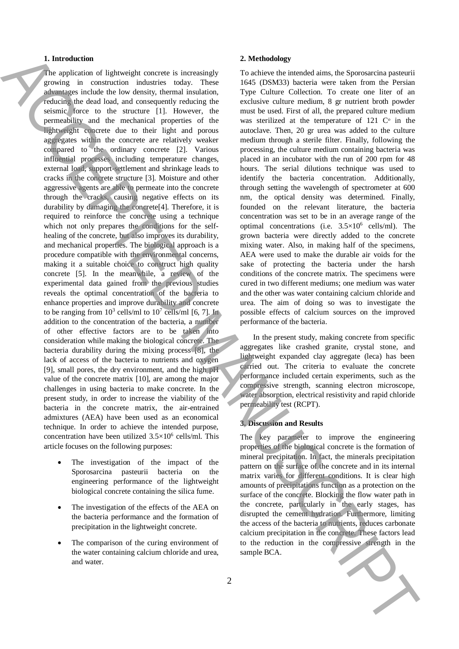# **1. Introduction**

The application of lightweight concrete is increasingly growing in construction industries today. These advantages include the low density, thermal insulation, reducing the dead load, and consequently reducing the seismic force to the structure [1]. However, the permeability and the mechanical properties of the lightweight concrete due to their light and porous aggregates within the concrete are relatively weaker compared to the ordinary concrete [2]. Various influential processes including temperature changes, external load, support-settlement and shrinkage leads to cracks in the concrete structure [3]. Moisture and other aggressive agents are able to permeate into the concrete through the cracks, causing negative effects on its durability by damaging the concrete[4]. Therefore, it is required to reinforce the concrete using a technique which not only prepares the conditions for the selfhealing of the concrete, but also improves its durability, and mechanical properties. The biological approach is a procedure compatible with the environmental concerns, making it a suitable choice to construct high quality concrete [5]. In the meanwhile, a review of the experimental data gained from the previous studies reveals the optimal concentration of the bacteria to enhance properties and improve durability and concrete to be ranging from  $10^3$  cells/ml to  $10^7$  cells/ml [6, 7]. In addition to the concentration of the bacteria, a number of other effective factors are to be taken into consideration while making the biological concrete. The bacteria durability during the mixing process [8], the lack of access of the bacteria to nutrients and oxygen [9], small pores, the dry environment, and the high pH value of the concrete matrix [10], are among the major challenges in using bacteria to make concrete. In the present study, in order to increase the viability of the bacteria in the concrete matrix, the air-entrained admixtures (AEA) have been used as an economical technique. In order to achieve the intended purpose, concentration have been utilized  $3.5 \times 10^6$  cells/ml. This article focuses on the following purposes: Interaction of Education Contents is increasingly. To showe interaction in the Synometric means of the Synometric means of the Synometric means of the Synometric means of the Synometric means of the Synometric means of th

- The investigation of the impact of the Sporosarcina pasteurii bacteria on the engineering performance of the lightweight biological concrete containing the silica fume.
- The investigation of the effects of the AEA on the bacteria performance and the formation of precipitation in the lightweight concrete.
- The comparison of the curing environment of the water containing calcium chloride and urea, and water.

## **2. Methodology**

To achieve the intended aims, the Sporosarcina pasteurii 1645 (DSM33) bacteria were taken from the Persian Type Culture Collection. To create one liter of an exclusive culture medium, 8 gr nutrient broth powder must be used. First of all, the prepared culture medium was sterilized at the temperature of 121  $\mathbb{C}^{\circ}$  in the autoclave. Then, 20 gr urea was added to the culture medium through a sterile filter. Finally, following the processing, the culture medium containing bacteria was placed in an incubator with the run of 200 rpm for 48 hours. The serial dilutions technique was used to identify the bacteria concentration. Additionally, through setting the wavelength of spectrometer at 600 nm, the optical density was determined. Finally, founded on the relevant literature, the bacteria concentration was set to be in an average range of the optimal concentrations (i.e.  $3.5 \times 10^6$  cells/ml). The grown bacteria were directly added to the concrete mixing water. Also, in making half of the specimens, AEA were used to make the durable air voids for the sake of protecting the bacteria under the harsh conditions of the concrete matrix. The specimens were cured in two different mediums; one medium was water and the other was water containing calcium chloride and urea. The aim of doing so was to investigate the possible effects of calcium sources on the improved performance of the bacteria.

In the present study, making concrete from specific aggregates like crashed granite, crystal stone, and lightweight expanded clay aggregate (leca) has been carried out. The criteria to evaluate the concrete performance included certain experiments, such as the compressive strength, scanning electron microscope, water absorption, electrical resistivity and rapid chloride permeability test (RCPT).

# **3. Discussion and Results**

The key parameter to improve the engineering properties of the biological concrete is the formation of mineral precipitation. In fact, the minerals precipitation pattern on the surface of the concrete and in its internal matrix varies for different conditions. It is clear high amounts of precipitations function as a protection on the surface of the concrete. Blocking the flow water path in the concrete, particularly in the early stages, has disrupted the cement hydration. Furthermore, limiting the access of the bacteria to nutrients, reduces carbonate calcium precipitation in the concrete. These factors lead to the reduction in the compressive strength in the sample BCA.